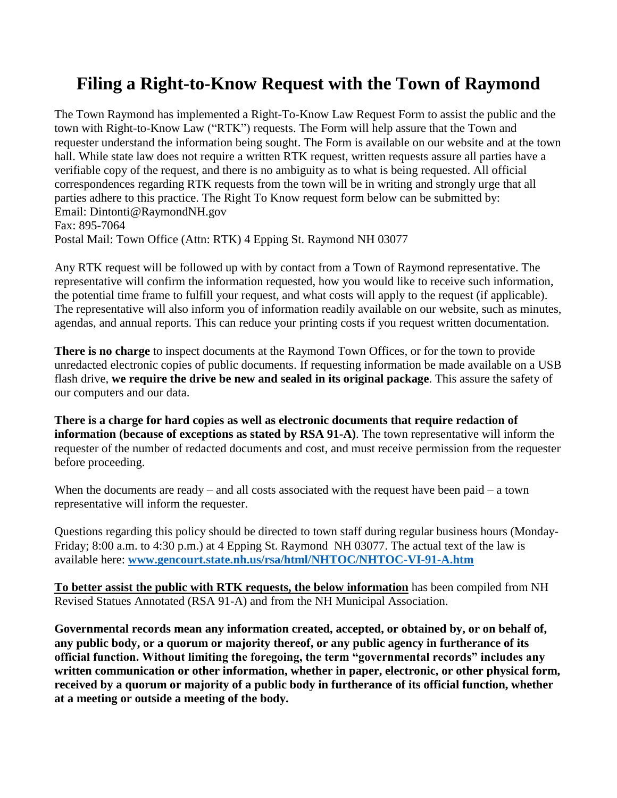## **Filing a Right-to-Know Request with the Town of Raymond**

The Town Raymond has implemented a Right-To-Know Law Request Form to assist the public and the town with Right-to-Know Law ("RTK") requests. The Form will help assure that the Town and requester understand the information being sought. The Form is available on our website and at the town hall. While state law does not require a written RTK request, written requests assure all parties have a verifiable copy of the request, and there is no ambiguity as to what is being requested. All official correspondences regarding RTK requests from the town will be in writing and strongly urge that all parties adhere to this practice. The Right To Know request form below can be submitted by: Email: Dintonti@RaymondNH.gov Fax: 895-7064 Postal Mail: Town Office (Attn: RTK) 4 Epping St. Raymond NH 03077

Any RTK request will be followed up with by contact from a Town of Raymond representative. The representative will confirm the information requested, how you would like to receive such information, the potential time frame to fulfill your request, and what costs will apply to the request (if applicable). The representative will also inform you of information readily available on our website, such as minutes, agendas, and annual reports. This can reduce your printing costs if you request written documentation.

**There is no charge** to inspect documents at the Raymond Town Offices, or for the town to provide unredacted electronic copies of public documents. If requesting information be made available on a USB flash drive, **we require the drive be new and sealed in its original package**. This assure the safety of our computers and our data.

**There is a charge for hard copies as well as electronic documents that require redaction of information (because of exceptions as stated by RSA 91-A)**. The town representative will inform the requester of the number of redacted documents and cost, and must receive permission from the requester before proceeding.

When the documents are ready – and all costs associated with the request have been paid – a town representative will inform the requester.

Questions regarding this policy should be directed to town staff during regular business hours (Monday-Friday; 8:00 a.m. to 4:30 p.m.) at 4 Epping St. Raymond NH 03077. The actual text of the law is available here: **[www.gencourt.state.nh.us/rsa/html/NHTOC/NHTOC-VI-91-A.htm](http://www.gencourt.state.nh.us/rsa/html/NHTOC/NHTOC-VI-91-A.htm)**

**To better assist the public with RTK requests, the below information** has been compiled from NH Revised Statues Annotated (RSA 91-A) and from the NH Municipal Association.

**Governmental records mean any information created, accepted, or obtained by, or on behalf of, any public body, or a quorum or majority thereof, or any public agency in furtherance of its official function. Without limiting the foregoing, the term "governmental records" includes any written communication or other information, whether in paper, electronic, or other physical form, received by a quorum or majority of a public body in furtherance of its official function, whether at a meeting or outside a meeting of the body.**